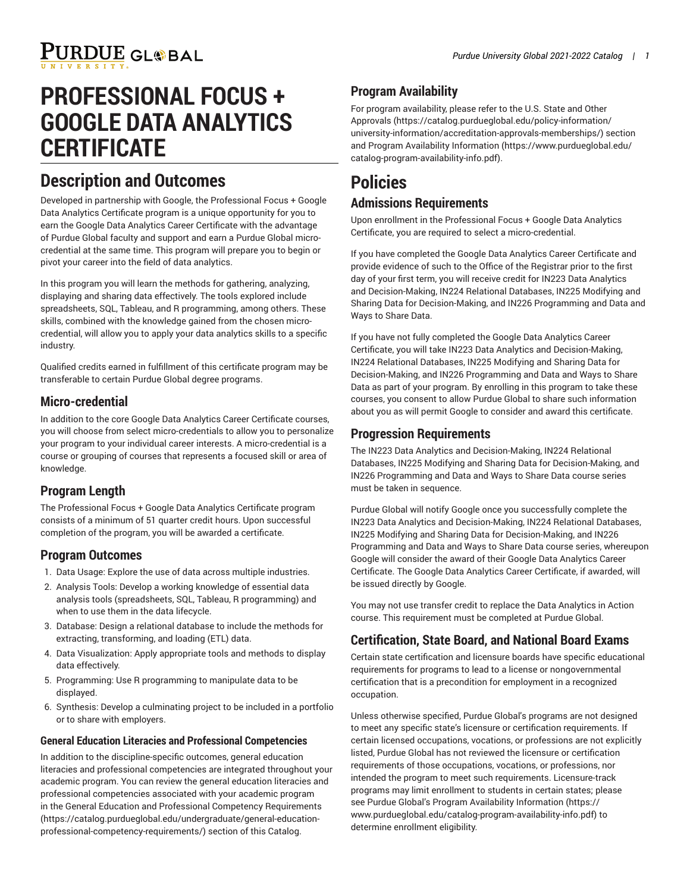# **PURDUE GLOBAL**

## **PROFESSIONAL FOCUS + GOOGLE DATA ANALYTICS CERTIFICATE**

## **Description and Outcomes**

Developed in partnership with Google, the Professional Focus + Google Data Analytics Certificate program is a unique opportunity for you to earn the Google Data Analytics Career Certificate with the advantage of Purdue Global faculty and support and earn a Purdue Global microcredential at the same time. This program will prepare you to begin or pivot your career into the field of data analytics.

In this program you will learn the methods for gathering, analyzing, displaying and sharing data effectively. The tools explored include spreadsheets, SQL, Tableau, and R programming, among others. These skills, combined with the knowledge gained from the chosen microcredential, will allow you to apply your data analytics skills to a specific industry.

Qualified credits earned in fulfillment of this certificate program may be transferable to certain Purdue Global degree programs.

#### **Micro-credential**

In addition to the core Google Data Analytics Career Certificate courses, you will choose from select micro-credentials to allow you to personalize your program to your individual career interests. A micro-credential is a course or grouping of courses that represents a focused skill or area of knowledge.

#### **Program Length**

The Professional Focus + Google Data Analytics Certificate program consists of a minimum of 51 quarter credit hours. Upon successful completion of the program, you will be awarded a certificate.

#### **Program Outcomes**

- 1. Data Usage: Explore the use of data across multiple industries.
- 2. Analysis Tools: Develop a working knowledge of essential data analysis tools (spreadsheets, SQL, Tableau, R programming) and when to use them in the data lifecycle.
- 3. Database: Design a relational database to include the methods for extracting, transforming, and loading (ETL) data.
- 4. Data Visualization: Apply appropriate tools and methods to display data effectively.
- 5. Programming: Use R programming to manipulate data to be displayed.
- 6. Synthesis: Develop a culminating project to be included in a portfolio or to share with employers.

#### **General Education Literacies and Professional Competencies**

In addition to the discipline-specific outcomes, general education literacies and professional competencies are integrated throughout your academic program. You can review the general education literacies and professional competencies associated with your academic program in the General Education and Professional Competency [Requirements](https://catalog.purdueglobal.edu/undergraduate/general-education-professional-competency-requirements/) ([https://catalog.purdueglobal.edu/undergraduate/general-education](https://catalog.purdueglobal.edu/undergraduate/general-education-professional-competency-requirements/)[professional-competency-requirements/](https://catalog.purdueglobal.edu/undergraduate/general-education-professional-competency-requirements/)) section of this Catalog.

## **Program Availability**

For program availability, please refer to the [U.S. State and Other](https://catalog.purdueglobal.edu/policy-information/university-information/accreditation-approvals-memberships/) [Approvals](https://catalog.purdueglobal.edu/policy-information/university-information/accreditation-approvals-memberships/) ([https://catalog.purdueglobal.edu/policy-information/](https://catalog.purdueglobal.edu/policy-information/university-information/accreditation-approvals-memberships/) [university-information/accreditation-approvals-memberships/](https://catalog.purdueglobal.edu/policy-information/university-information/accreditation-approvals-memberships/)) section and Program Availability [Information](https://www.purdueglobal.edu/catalog-program-availability-info.pdf) ([https://www.purdueglobal.edu/](https://www.purdueglobal.edu/catalog-program-availability-info.pdf) [catalog-program-availability-info.pdf\)](https://www.purdueglobal.edu/catalog-program-availability-info.pdf).

## **Policies Admissions Requirements**

Upon enrollment in the Professional Focus + Google Data Analytics Certificate, you are required to select a micro-credential.

If you have completed the Google Data Analytics Career Certificate and provide evidence of such to the Office of the Registrar prior to the first day of your first term, you will receive credit for IN223 Data Analytics and Decision-Making, IN224 Relational Databases, IN225 Modifying and Sharing Data for Decision-Making, and IN226 Programming and Data and Ways to Share Data.

If you have not fully completed the Google Data Analytics Career Certificate, you will take IN223 Data Analytics and Decision-Making, IN224 Relational Databases, IN225 Modifying and Sharing Data for Decision-Making, and IN226 Programming and Data and Ways to Share Data as part of your program. By enrolling in this program to take these courses, you consent to allow Purdue Global to share such information about you as will permit Google to consider and award this certificate.

#### **Progression Requirements**

The IN223 Data Analytics and Decision-Making, IN224 Relational Databases, IN225 Modifying and Sharing Data for Decision-Making, and IN226 Programming and Data and Ways to Share Data course series must be taken in sequence.

Purdue Global will notify Google once you successfully complete the IN223 Data Analytics and Decision-Making, IN224 Relational Databases, IN225 Modifying and Sharing Data for Decision-Making, and IN226 Programming and Data and Ways to Share Data course series, whereupon Google will consider the award of their Google Data Analytics Career Certificate. The Google Data Analytics Career Certificate, if awarded, will be issued directly by Google.

You may not use transfer credit to replace the Data Analytics in Action course. This requirement must be completed at Purdue Global.

### **Certification, State Board, and National Board Exams**

Certain state certification and licensure boards have specific educational requirements for programs to lead to a license or nongovernmental certification that is a precondition for employment in a recognized occupation.

Unless otherwise specified, Purdue Global's programs are not designed to meet any specific state's licensure or certification requirements. If certain licensed occupations, vocations, or professions are not explicitly listed, Purdue Global has not reviewed the licensure or certification requirements of those occupations, vocations, or professions, nor intended the program to meet such requirements. Licensure-track programs may limit enrollment to students in certain states; please see Purdue Global's Program Availability [Information](https://www.purdueglobal.edu/catalog-program-availability-info.pdf) ([https://](https://www.purdueglobal.edu/catalog-program-availability-info.pdf) [www.purdueglobal.edu/catalog-program-availability-info.pdf](https://www.purdueglobal.edu/catalog-program-availability-info.pdf)) to determine enrollment eligibility.